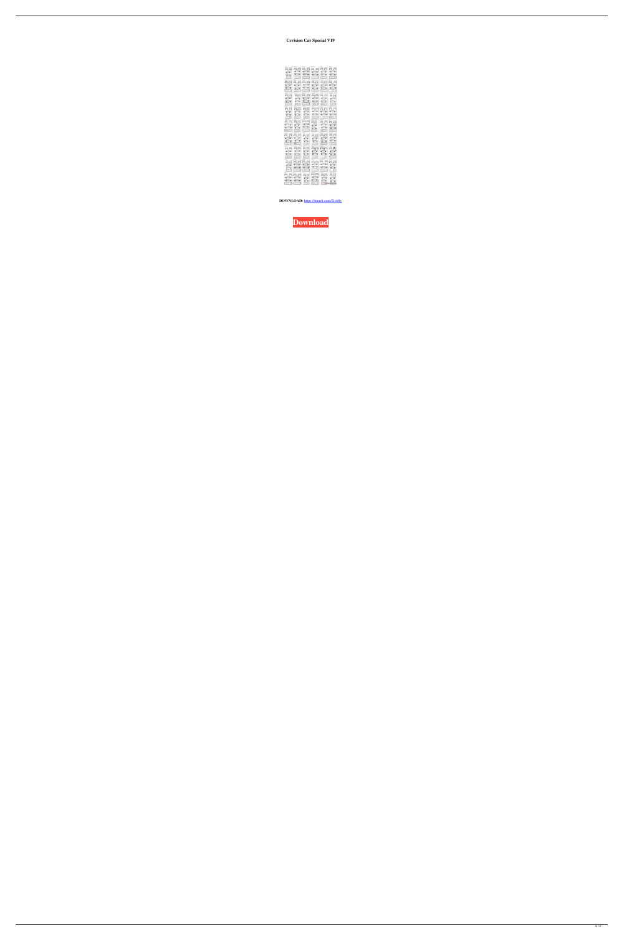**Contain Car Special V19** 

| $\boxdot$ $\boxdot$                                               | 会命                                                | $\text{a}$ $\text{e}$                 | $\bigcirc$                                                                     | 合合                                    | 合合                                                                     |
|-------------------------------------------------------------------|---------------------------------------------------|---------------------------------------|--------------------------------------------------------------------------------|---------------------------------------|------------------------------------------------------------------------|
| $\circ$ $\circ$                                                   | $\circ$ $\circ$                                   | $\circ$ $\circ$                       | $\circ$ $\circ$                                                                | $\circ$ $\circ$                       | $\circ$ $\circ$                                                        |
| $\overline{\bullet}$<br>$\circ$                                   | $\circ$ $\circ$<br>$\Box$                         | $\circ$                               | $\circ$ $\circ$<br>(E.                                                         | 60<br>$\Box$                          | $\circ$ $\circ$<br>(1)                                                 |
| <b>es fai</b>                                                     | Q                                                 | $\circledcirc$                        | $\color{red} \color{black} \bullet \color{blue} \color{black} \leftrightarrow$ | a e                                   | <b>and</b><br>⊜                                                        |
| $\circ$ $\circ$<br>$\circ$ $\circ$                                | $\circ$ $\circ$<br>$\circ$                        | $\circ$ $\circ$<br>$\circ$ $\circ$    | $\circ$<br>$\bullet^\parallel$<br>$\circ$                                      | $\circ$ $\circ$<br>$\circ$ $\circ$    | $\circ$ $\circ$<br>$\circ$                                             |
|                                                                   | $\bullet$                                         | $\left( 0 \right)$                    | $\bullet$                                                                      | U                                     |                                                                        |
| ⊜⊜                                                                | 88                                                | 台口                                    | ea                                                                             | 88                                    | 음음                                                                     |
| $\circ$ $\circ$<br>$\circ$ $\circ$                                | $\sqrt{\phantom{a}}$<br>$\sqrt{\frac{1}{\sigma}}$ | $\circ$ $\circ$<br>$\circ$ $\circ$    | $\circ$ $\circ$<br>600                                                         | $\circ$ $\circ$<br>$\circ$<br>$\circ$ | $\circ$ $\circ$<br>$\bullet$<br>$\mathbf{o}$                           |
| LTD                                                               | $\Box$                                            | $\mathbf{L}$                          | $\textcircled{c})$                                                             | $\mathbb{E}$<br>匾                     | jj                                                                     |
| 自身<br>$\circ$ $\circ$                                             | 合向<br>$\circ$                                     | 全国<br>$6 - 8$                         | $\ominus$<br>$\circ$ $\circ$                                                   | 合日<br>$\circ$ $\circ$                 | 合骨<br>$\circ$ $\circ$                                                  |
| $\bullet$<br>$\bullet$                                            | $\circ$<br>$\circ$                                | $\overline{\circ}$ $\overline{\circ}$ | $\circ$ $\circ$<br>(0)                                                         | $\circ$ $\circ$                       | $\circ$ $\circ$                                                        |
| noo<br>合合                                                         | T)<br>全全                                          | $\Box$<br>合合                          | $\boxminus$ $\boxminus$                                                        | e e                                   | T.<br>$\mathbin{\widehat{=}}$                                          |
| $\circ$ $\circ$                                                   | $\sigma$ $\sigma$                                 | $\circ$ $\circ$                       | $\epsilon$                                                                     | $\circ$ $\circ$                       | $\circ$<br>$\mathbf{o}^{\perp}$                                        |
| $\circ$<br>TE                                                     | $\sigma$ $\sigma$<br>$\Box$                       | $\circ$<br>ED                         | B                                                                              | $\overline{\circ}$<br>$\Box$          | $\overline{\bullet}$<br>$\mathbf{o}$                                   |
| e e                                                               | $\color{red} \blacksquare$                        | er                                    | e Ø                                                                            | 合同                                    | $\triangle$ $\triangle$                                                |
| $\circ$<br>$\bullet$<br>$\overline{\bullet}$ $\overline{\bullet}$ | $\circ$ $\circ$<br>$\circ$ $\circ$                | $\circ$ $\circ$                       | $\circ$ $\circ$                                                                | $\circ$ $\circ$<br>$\circ$            | $\circ$ $\circ$<br>$\circ$                                             |
|                                                                   | ŤD                                                | $\circ$ $\circ$<br>ib<br>C            | $\bullet$                                                                      | $\Box$                                | COD                                                                    |
| 全角                                                                | 台合                                                | $\ominus$                             | 骨需                                                                             | 胃害                                    | $\Box$                                                                 |
| $\circ$ $\circ$<br>$\circ$ $\circ$                                | $\circ$ $\circ$<br>$\circ$                        | $\circ$ $\circ$<br>$\circ$            | $^{\circ}$<br>$\circ$ $\circ$                                                  | $\circ$ $\circ$<br>$\circ$ $\circ$    | $\circ$<br>$\circ$ <sup>1</sup><br>$\overline{\phantom{a}}$<br>$\circ$ |
| OSO                                                               | <b>OTB</b>                                        | (EUT)                                 | T                                                                              | è                                     | IC<br>ı[                                                               |
| 88<br>$\overline{\bullet}$ $\overline{\bullet}$                   | $\circledR$<br>$\circ$ $\circ$                    | e e<br>$\circ$ $\circ$                | ○●<br>$\circ$ $\circ$                                                          | 26 e<br>$\circ$                       | 66<br>$\circ$<br>$\circ$                                               |
| ₩<br>$\bullet$                                                    | $\circ$ $\circ$                                   | $\circ$<br>$\circ$                    | $\circ$ $\circ$                                                                | $\circ$                               | $\overline{\phantom{a}}$<br>$\circ$                                    |
| n                                                                 |                                                   |                                       | CUHO E<br>an,                                                                  | Τ                                     |                                                                        |
| ei ei<br>$\circ$ $\circ$                                          | 8 e<br>$\circ$ $\circ$                            | 月月<br>$\circ$ $\circ$                 | $\circ$ $\circ$                                                                | 88<br>$\sigma$                        | 26<br>$\circ$ $\circ$                                                  |
| $\circ$ $\circ$<br>$(\Box)$                                       | $\circ$<br>$(\Box)$                               | $\sigma$<br>$\mathbb{R}$              | $\circ$ $\circ$<br>Ē.                                                          | $\circ$                               | $\circ$<br>$\circ$<br>grafamania.net                                   |
|                                                                   |                                                   |                                       |                                                                                |                                       |                                                                        |

DOWNLOAD: https://tinurli.com/2io68y